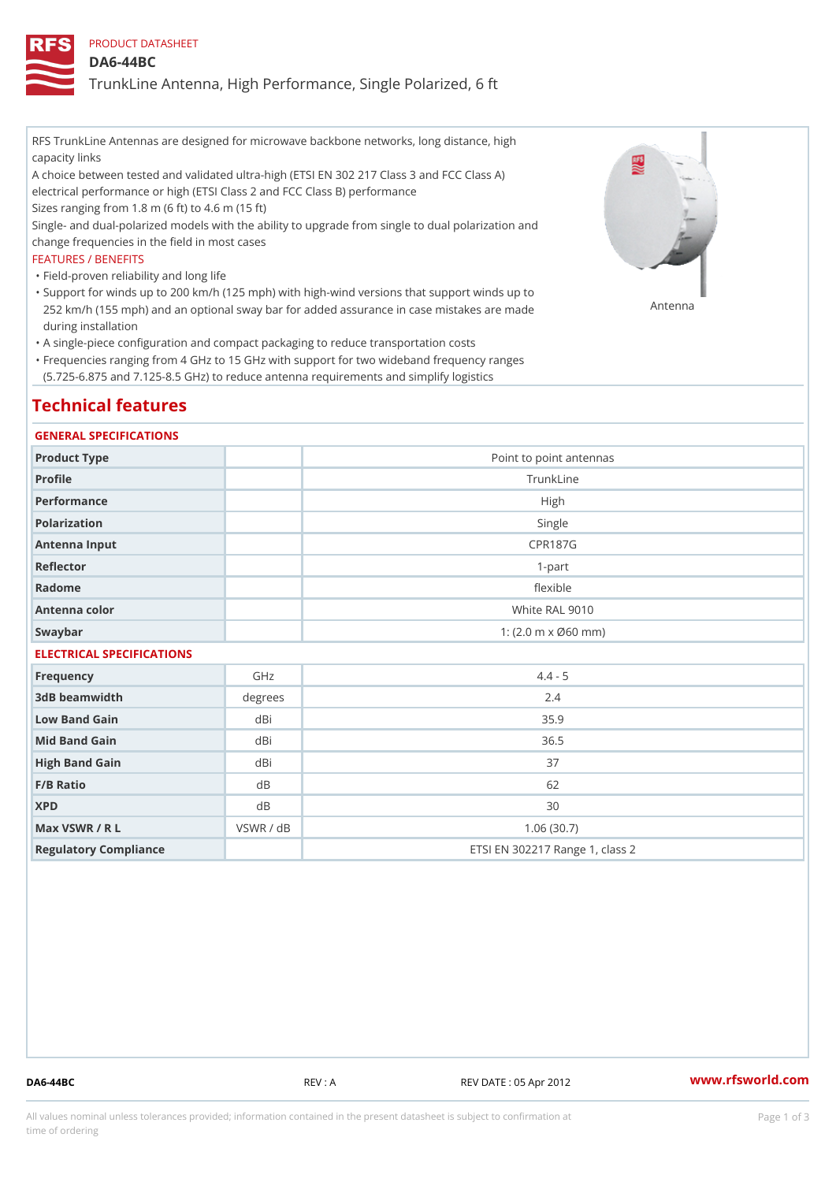### PRODUCT DATASHEET

#### DA6-44BC

TrunkLine Antenna, High Performance, Single Polarized, 6 ft

RFS TrunkLine Antennas are designed for microwave backbone networks, long distance, high capacity links

A choice between tested and validated ultra-high (ETSI EN 302 217 Class 3 and FCC Class A) electrical performance or high (ETSI Class 2 and FCC Class B) performance

Sizes ranging from 1.8 m (6 ft) to 4.6 m (15 ft)

Single- and dual-polarized models with the ability to upgrade from single to dual polarization and change frequencies in the field in most cases

#### FEATURES / BENEFITS

"Field-proven reliability and long life

- Support for winds up to 200 km/h (125 mph) with high-wind versions that support winds up to " 252 km/h (155 mph) and an optional sway bar for added assurance in case m S # \$ R & B are made during installation
- "A single-piece configuration and compact packaging to reduce transportation costs
- Frequencies ranging from 4 GHz to 15 GHz with support for two wideband frequency ranges " (5.725-6.875 and 7.125-8.5 GHz) to reduce antenna requirements and simplify logistics

# Technical features

#### GENERAL SPECIFICATIONS

| Product Type  | Point to point antennas                                 |  |  |  |
|---------------|---------------------------------------------------------|--|--|--|
| Profile       | TrunkLine                                               |  |  |  |
| Performance   | High                                                    |  |  |  |
| Polarization  | Single                                                  |  |  |  |
| Antenna Input | CPR187G                                                 |  |  |  |
| Reflector     | $1-part$                                                |  |  |  |
| Radome        | flexible                                                |  |  |  |
| Antenna color | White RAL 9010                                          |  |  |  |
| Swaybar       | 1: $(2.0 \, \text{m} \times \emptyset 60 \, \text{mm})$ |  |  |  |
|               |                                                         |  |  |  |

### ELECTRICAL SPECIFICATIONS

| Frequency             | GHz       | $4.4 - 5$                       |
|-----------------------|-----------|---------------------------------|
| 3dB beamwidth         | degree    | 2.4                             |
| Low Band Gain         | dBi       | 35.9                            |
| Mid Band Gain         | dBi       | 36.5                            |
| High Band Gain        | dBi       | 37                              |
| $F/B$ Ratio           | d B       | 62                              |
| <b>XPD</b>            | d B       | 30                              |
| Max VSWR / R L        | VSWR / dB | 1.06(30.7)                      |
| Regulatory Compliance |           | ETSI EN 302217 Range 1, class 2 |

DA6-44BC REV : A REV DATE : 05 Apr 2012 [www.](https://www.rfsworld.com)rfsworld.com

All values nominal unless tolerances provided; information contained in the present datasheet is subject to Pcapgeign mation time of ordering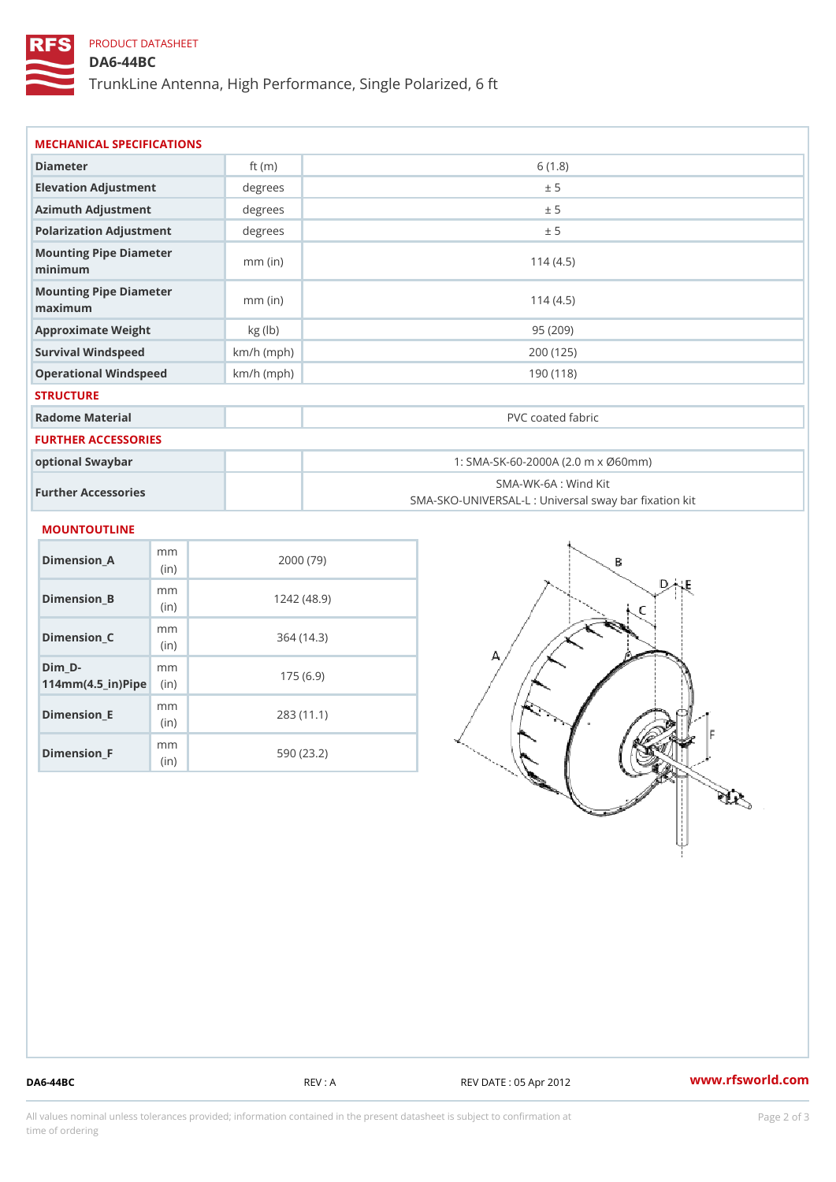## PRODUCT DATASHEET

### DA6-44BC

TrunkLine Antenna, High Performance, Single Polarized, 6 ft

| MECHANICAL SPECIFICATIONS                                               |              |                                                                           |  |  |
|-------------------------------------------------------------------------|--------------|---------------------------------------------------------------------------|--|--|
| Diameter                                                                | ft $(m)$     | 6(1.8)                                                                    |  |  |
| Elevation Adjustment                                                    | degree:      | ± 5                                                                       |  |  |
| Azimuth Adjustment                                                      | degrees      | ± 5                                                                       |  |  |
| Polarization Adjustment                                                 | degrees      | ± 5                                                                       |  |  |
| Mounting Pipe Diameter<br>minimum                                       | $mm$ (in)    | 114(4.5)                                                                  |  |  |
| Mounting Pipe Diameter<br>maximum                                       | $mm$ (in)    | 114(4.5)                                                                  |  |  |
| Approximate Weight                                                      | kg (lb)      | 95(209)                                                                   |  |  |
| Survival Windspeed                                                      | $km/h$ (mph) | 200 (125)                                                                 |  |  |
| Operational Windspeed                                                   | $km/h$ (mph) | 190 (118)                                                                 |  |  |
| <b>STRUCTURE</b>                                                        |              |                                                                           |  |  |
| Radome Material                                                         |              | PVC coated fabric                                                         |  |  |
| FURTHER ACCESSORIES                                                     |              |                                                                           |  |  |
| optional Swaybar                                                        |              | 1: SMA-SK-60-2000A (2.0 m x Ø60mm)                                        |  |  |
| Further Accessories                                                     |              | SMA-WK-6A : Wind Kit<br>SMA-SKO-UNIVERSAL-L : Universal sway bar fixation |  |  |
| MOUNTOUTLINE                                                            |              |                                                                           |  |  |
| m m<br>$Dimension_A$<br>(in)                                            |              | 2000(79)                                                                  |  |  |
| m <sub>m</sub><br>Dimension_B<br>(in)                                   |              | 1242(48.9)                                                                |  |  |
| m m<br>$Dimension_C$<br>(in)                                            |              | 364(14.3)                                                                 |  |  |
| $Dim_D - D -$<br>m <sub>m</sub><br>$114$ m m (4.5 _ ir ) $\sqrt{$ imple |              | 175(6.9)                                                                  |  |  |

Dimension\_E

Dimension\_F

m<sub>m</sub> (in)

m<sub>m</sub> (in)

283 (11.1)

590 (23.2)

DA6-44BC REV : A REV DATE : 05 Apr 2012 WWW.rfsworld.com